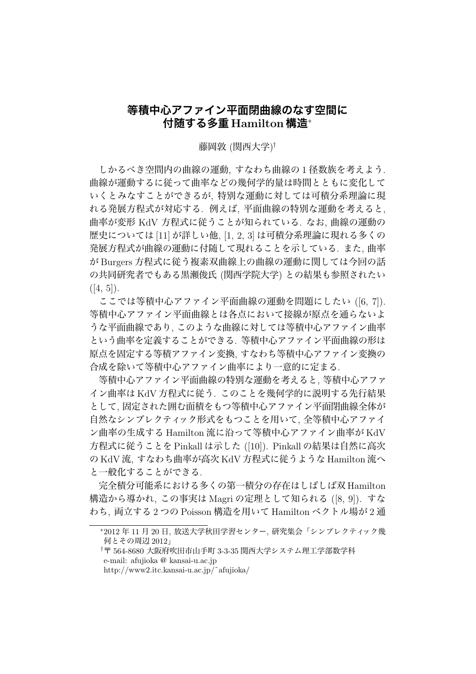## **等積中心アファイン平面閉曲線のなす空間に 付随する多重 Hamilton 構造***<sup>∗</sup>*

藤岡敦 (関西大学) *†*

しかるべき空間内の曲線の運動, すなわち曲線の 1 径数族を考えよう. 曲線が運動するに従って曲率などの幾何学的量は時間とともに変化して いくとみなすことができるが, 特別な運動に対しては可積分系理論に現 れる発展方程式が対応する. 例えば, 平面曲線の特別な運動を考えると, 曲率が変形 KdV 方程式に従うことが知られている. なお, 曲線の運動の 歴史については [11] が詳しい他, [1, 2, 3] は可積分系理論に現れる多くの 発展方程式が曲線の運動に付随して現れることを示している. また, 曲率 が Burgers 方程式に従う複素双曲線上の曲線の運動に関しては今回の話 の共同研究者でもある黒瀬俊氏 (関西学院大学) との結果も参照されたい  $([4, 5]).$ 

ここでは等積中心アファイン平面曲線の運動を問題にしたい ([6,7]). 等積中心アファイン平面曲線とは各点において接線が原点を通らないよ うな平面曲線であり, このような曲線に対しては等積中心アファイン曲率 という曲率を定義することができる. 等積中心アファイン平面曲線の形は 原点を固定する等積アファイン変換, すなわち等積中心アファイン変換の 合成を除いて等積中心アファイン曲率により一意的に定まる.

等積中心アファイン平面曲線の特別な運動を考えると, 等積中心アファ イン曲率は KdV 方程式に従う. このことを幾何学的に説明する先行結果 として, 固定された囲む面積をもつ等積中心アファイン平面閉曲線全体が 自然なシンプレクティック形式をもつことを用いて, 全等積中心アファイ ン曲率の生成する Hamilton 流に沿って等積中心アファイン曲率が KdV 方程式に従うことを Pinkall は示した ([10]). Pinkall の結果は自然に高次 の KdV 流, すなわち曲率が高次 KdV 方程式に従うような Hamilton 流へ と一般化することができる.

完全積分可能系における多くの第一積分の存在はしばしば双 Hamilton 構造から導かれ, この事実は Magri の定理として知られる ([8, 9]). すな わち, 両立する 2 つの Poisson 構造を用いて Hamilton ベクトル場が 2 通

*<sup>∗</sup>*2012 年 11 月 20 日, 放送大学秋田学習センター, 研究集会「シンプレクティック幾 何とその周辺 2012」

*<sup>†</sup>*〒 564-8680 大阪府吹田市山手町 3-3-35 関西大学システム理工学部数学科 e-mail: afujioka @ kansai-u.ac.jp

http://www2.itc.kansai-u.ac.jp/˜afujioka/